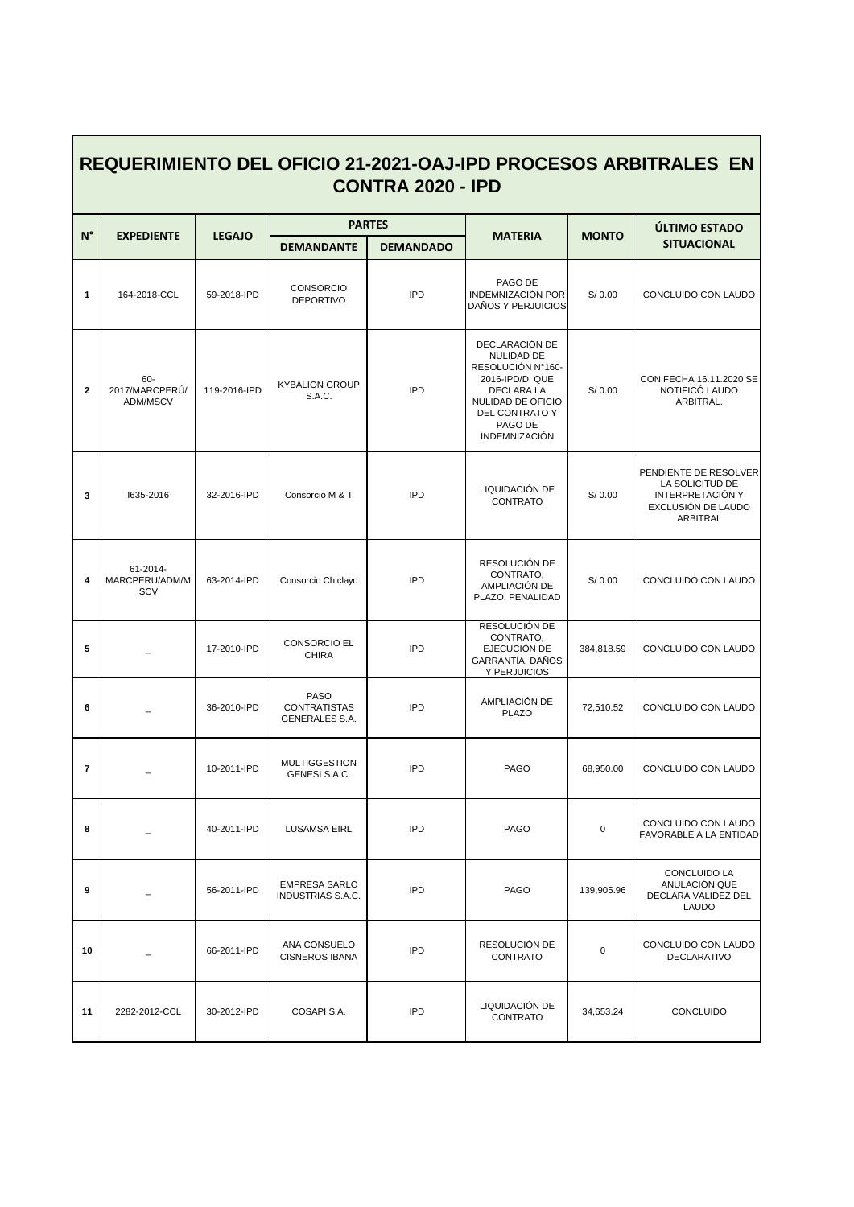| <u>REQUERIMIENTO DEL OFICIO 21-2021-OAJ-IPD PROCESOS ARBITRALES EN</u><br><b>CONTRA 2020 - IPD</b> |                                   |               |                                                      |                  |                                                                                                                                                             |              |                                                                                                |  |  |  |  |
|----------------------------------------------------------------------------------------------------|-----------------------------------|---------------|------------------------------------------------------|------------------|-------------------------------------------------------------------------------------------------------------------------------------------------------------|--------------|------------------------------------------------------------------------------------------------|--|--|--|--|
| $N^{\circ}$                                                                                        | <b>EXPEDIENTE</b>                 | <b>LEGAJO</b> | <b>PARTES</b>                                        |                  | <b>MATERIA</b>                                                                                                                                              | <b>MONTO</b> | ÚLTIMO ESTADO                                                                                  |  |  |  |  |
|                                                                                                    |                                   |               | <b>DEMANDANTE</b>                                    | <b>DEMANDADO</b> |                                                                                                                                                             |              | <b>SITUACIONAL</b>                                                                             |  |  |  |  |
| 1                                                                                                  | 164-2018-CCL                      | 59-2018-IPD   | CONSORCIO<br><b>DEPORTIVO</b>                        | <b>IPD</b>       | PAGO DE<br>INDEMNIZACIÓN POR<br>DAÑOS Y PERJUICIOS                                                                                                          | S/ 0.00      | CONCLUIDO CON LAUDO                                                                            |  |  |  |  |
| $\mathbf 2$                                                                                        | 60-<br>2017/MARCPERÚ/<br>ADM/MSCV | 119-2016-IPD  | <b>KYBALION GROUP</b><br>S.A.C.                      | <b>IPD</b>       | DECLARACIÓN DE<br>NULIDAD DE<br>RESOLUCIÓN N°160-<br>2016-IPD/D QUE<br>DECLARA LA<br>NULIDAD DE OFICIO<br>DEL CONTRATO Y<br>PAGO DE<br><b>INDEMNIZACIÓN</b> | S/ 0.00      | CON FECHA 16.11.2020 SE<br>NOTIFICÓ LAUDO<br>ARBITRAL.                                         |  |  |  |  |
| 3                                                                                                  | 1635-2016                         | 32-2016-IPD   | Consorcio M & T                                      | <b>IPD</b>       | LIQUIDACIÓN DE<br>CONTRATO                                                                                                                                  | S/0.00       | PENDIENTE DE RESOLVER<br>LA SOLICITUD DE<br>INTERPRETACIÓN Y<br>EXCLUSIÓN DE LAUDO<br>ARBITRAL |  |  |  |  |
| 4                                                                                                  | 61-2014-<br>MARCPERU/ADM/M<br>SCV | 63-2014-IPD   | Consorcio Chiclayo                                   | <b>IPD</b>       | RESOLUCIÓN DE<br>CONTRATO,<br>AMPLIACIÓN DE<br>PLAZO, PENALIDAD                                                                                             | S/ 0.00      | CONCLUIDO CON LAUDO                                                                            |  |  |  |  |
| 5                                                                                                  |                                   | 17-2010-IPD   | <b>CONSORCIO EL</b><br><b>CHIRA</b>                  | <b>IPD</b>       | RESOLUCIÓN DE<br>CONTRATO,<br>EJECUCIÓN DE<br>GARRANTÍA, DAÑOS<br>Y PERJUICIOS                                                                              | 384,818.59   | CONCLUIDO CON LAUDO                                                                            |  |  |  |  |
| 6                                                                                                  |                                   | 36-2010-IPD   | <b>PASO</b><br><b>CONTRATISTAS</b><br>GENERALES S.A. | <b>IPD</b>       | AMPLIACIÓN DE<br><b>PLAZO</b>                                                                                                                               | 72,510.52    | CONCLUIDO CON LAUDO                                                                            |  |  |  |  |
| $\overline{7}$                                                                                     |                                   | 10-2011-IPD   | <b>MULTIGGESTION</b><br>GENESI S.A.C.                | <b>IPD</b>       | PAGO                                                                                                                                                        | 68,950.00    | CONCLUIDO CON LAUDO                                                                            |  |  |  |  |
| 8                                                                                                  |                                   | 40-2011-IPD   | <b>LUSAMSA EIRL</b>                                  | <b>IPD</b>       | <b>PAGO</b>                                                                                                                                                 | 0            | CONCLUIDO CON LAUDO<br>FAVORABLE A LA ENTIDAD                                                  |  |  |  |  |
| 9                                                                                                  |                                   | 56-2011-IPD   | <b>EMPRESA SARLO</b><br>INDUSTRIAS S.A.C.            | <b>IPD</b>       | <b>PAGO</b>                                                                                                                                                 | 139,905.96   | <b>CONCLUIDO LA</b><br>ANULACIÓN QUE<br>DECLARA VALIDEZ DEL<br>LAUDO                           |  |  |  |  |
| 10                                                                                                 |                                   | 66-2011-IPD   | ANA CONSUELO<br><b>CISNEROS IBANA</b>                | <b>IPD</b>       | RESOLUCIÓN DE<br>CONTRATO                                                                                                                                   | 0            | CONCLUIDO CON LAUDO<br>DECLARATIVO                                                             |  |  |  |  |
| 11                                                                                                 | 2282-2012-CCL                     | 30-2012-IPD   | COSAPI S.A.                                          | <b>IPD</b>       | LIQUIDACIÓN DE<br>CONTRATO                                                                                                                                  | 34,653.24    | <b>CONCLUIDO</b>                                                                               |  |  |  |  |

## **REQUERIMIENTO DEL OFICIO 21-2021-OAJ-IPD PROCESOS ARBITRALES EN**